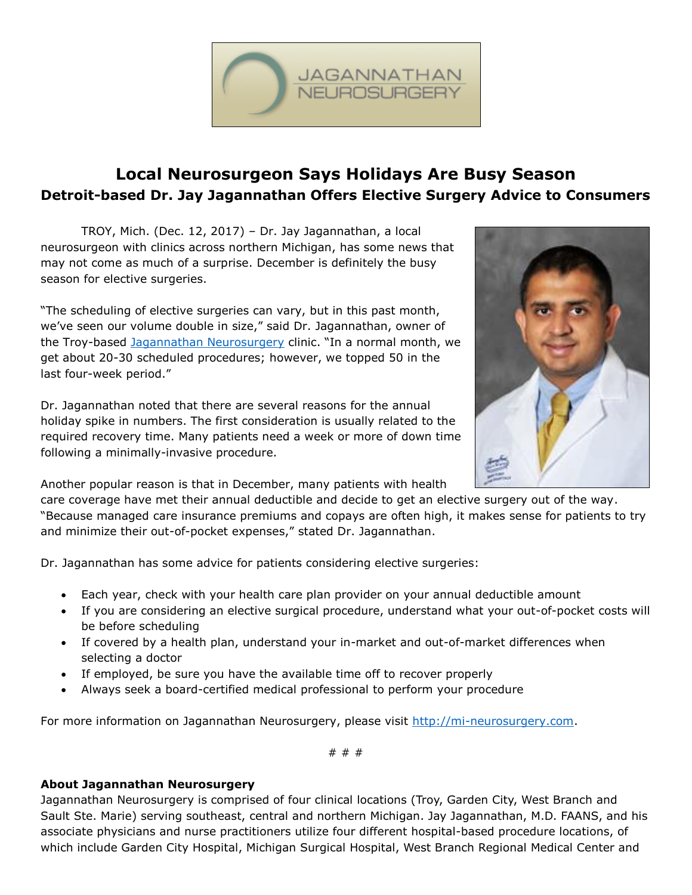

## **Local Neurosurgeon Says Holidays Are Busy Season Detroit-based Dr. Jay Jagannathan Offers Elective Surgery Advice to Consumers**

TROY, Mich. (Dec. 12, 2017) – Dr. Jay Jagannathan, a local neurosurgeon with clinics across northern Michigan, has some news that may not come as much of a surprise. December is definitely the busy season for elective surgeries.

"The scheduling of elective surgeries can vary, but in this past month, we've seen our volume double in size," said Dr. Jagannathan, owner of the Troy-based [Jagannathan Neurosurgery](http://mi-neurosurgery.com/) clinic. "In a normal month, we get about 20-30 scheduled procedures; however, we topped 50 in the last four-week period."

Dr. Jagannathan noted that there are several reasons for the annual holiday spike in numbers. The first consideration is usually related to the required recovery time. Many patients need a week or more of down time following a minimally-invasive procedure.



Another popular reason is that in December, many patients with health

care coverage have met their annual deductible and decide to get an elective surgery out of the way. "Because managed care insurance premiums and copays are often high, it makes sense for patients to try and minimize their out-of-pocket expenses," stated Dr. Jagannathan.

Dr. Jagannathan has some advice for patients considering elective surgeries:

- Each year, check with your health care plan provider on your annual deductible amount
- If you are considering an elective surgical procedure, understand what your out-of-pocket costs will be before scheduling
- If covered by a health plan, understand your in-market and out-of-market differences when selecting a doctor
- If employed, be sure you have the available time off to recover properly
- Always seek a board-certified medical professional to perform your procedure

For more information on Jagannathan Neurosurgery, please visit [http://mi-neurosurgery.com.](http://mi-neurosurgery.com/)

# # #

## **About Jagannathan Neurosurgery**

Jagannathan Neurosurgery is comprised of four clinical locations (Troy, Garden City, West Branch and Sault Ste. Marie) serving southeast, central and northern Michigan. Jay Jagannathan, M.D. FAANS, and his associate physicians and nurse practitioners utilize four different hospital-based procedure locations, of which include Garden City Hospital, Michigan Surgical Hospital, West Branch Regional Medical Center and